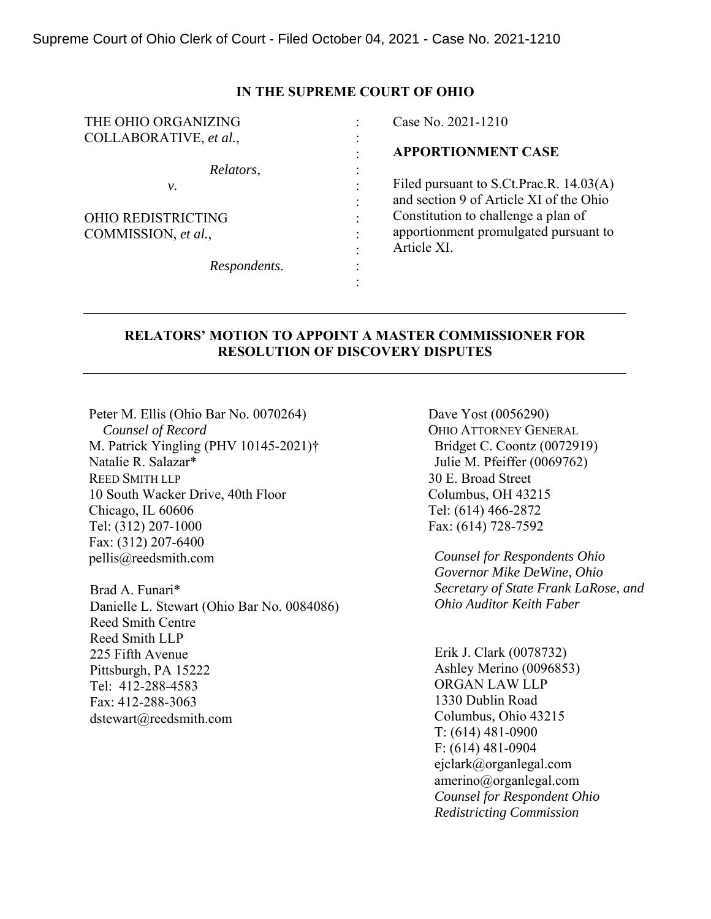### **IN THE SUPREME COURT OF OHIO**

| THE OHIO ORGANIZING       |                      | Case No. 2021-1210                      |
|---------------------------|----------------------|-----------------------------------------|
| COLLABORATIVE, et al.,    |                      |                                         |
|                           |                      | <b>APPORTIONMENT CASE</b>               |
| Relators,                 |                      |                                         |
| ν.                        |                      | Filed pursuant to S.Ct.Prac.R. 14.03(A) |
|                           |                      | and section 9 of Article XI of the Ohio |
| <b>OHIO REDISTRICTING</b> | $\bullet$            | Constitution to challenge a plan of     |
| COMMISSION, et al.,       |                      | apportionment promulgated pursuant to   |
|                           |                      | Article XI.                             |
| Respondents.              | $\ddot{\phantom{0}}$ |                                         |
|                           |                      |                                         |

# **RELATORS' MOTION TO APPOINT A MASTER COMMISSIONER FOR RESOLUTION OF DISCOVERY DISPUTES**

Peter M. Ellis (Ohio Bar No. 0070264)  *Counsel of Record*  M. Patrick Yingling (PHV 10145-2021)† Natalie R. Salazar\* REED SMITH LLP 10 South Wacker Drive, 40th Floor Chicago, IL 60606 Tel: (312) 207-1000 Fax: (312) 207-6400 pellis@reedsmith.com

Brad A. Funari\* Danielle L. Stewart (Ohio Bar No. 0084086) Reed Smith Centre Reed Smith LLP 225 Fifth Avenue Pittsburgh, PA 15222 Tel: 412-288-4583 Fax: 412-288-3063 dstewart@reedsmith.com

Dave Yost (0056290) OHIO ATTORNEY GENERAL Bridget C. Coontz (0072919) Julie M. Pfeiffer (0069762) 30 E. Broad Street Columbus, OH 43215 Tel: (614) 466-2872 Fax: (614) 728-7592

*Counsel for Respondents Ohio Governor Mike DeWine, Ohio Secretary of State Frank LaRose, and Ohio Auditor Keith Faber* 

Erik J. Clark (0078732) Ashley Merino (0096853) ORGAN LAW LLP 1330 Dublin Road Columbus, Ohio 43215 T: (614) 481-0900 F: (614) 481-0904 ejclark@organlegal.com amerino@organlegal.com *Counsel for Respondent Ohio Redistricting Commission*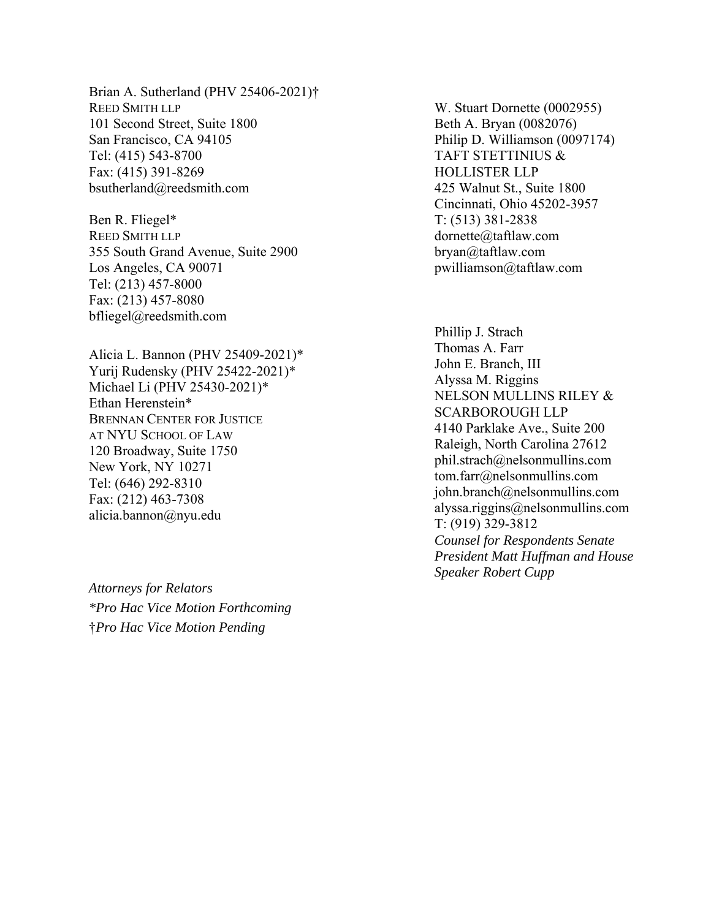Brian A. Sutherland (PHV 25406-2021)† REED SMITH LLP 101 Second Street, Suite 1800 San Francisco, CA 94105 Tel: (415) 543-8700 Fax: (415) 391-8269 bsutherland@reedsmith.com

Ben R. Fliegel\* REED SMITH LLP 355 South Grand Avenue, Suite 2900 Los Angeles, CA 90071 Tel: (213) 457-8000 Fax: (213) 457-8080 bfliegel@reedsmith.com

Alicia L. Bannon (PHV 25409-2021)\* Yurij Rudensky (PHV 25422-2021)\* Michael Li (PHV 25430-2021)\* Ethan Herenstein\*<br>BRENNAN CENTER FOR JUSTICE AT NYU SCHOOL OF LAW 120 Broadway, Suite 1750 New York, NY 10271 Tel: (646) 292-8310 Fax: (212) 463-7308 alicia.bannon@nyu.edu

*Attorneys for Relators \*Pro Hac Vice Motion Forthcoming* †*Pro Hac Vice Motion Pending* 

W. Stuart Dornette (0002955) Beth A. Bryan (0082076) Philip D. Williamson (0097174) TAFT STETTINIUS & HOLLISTER LLP 425 Walnut St., Suite 1800 Cincinnati, Ohio 45202-3957 T: (513) 381-2838 dornette@taftlaw.com bryan@taftlaw.com pwilliamson@taftlaw.com

Phillip J. Strach Thomas A. Farr John E. Branch, III Alyssa M. Riggins NELSON MULLINS RILEY & SCARBOROUGH LLP 4140 Parklake Ave., Suite 200 Raleigh, North Carolina 27612 phil.strach@nelsonmullins.com tom.farr@nelsonmullins.com john.branch@nelsonmullins.com alyssa.riggins@nelsonmullins.com T: (919) 329-3812 *Counsel for Respondents Senate President Matt Huffman and House Speaker Robert Cupp*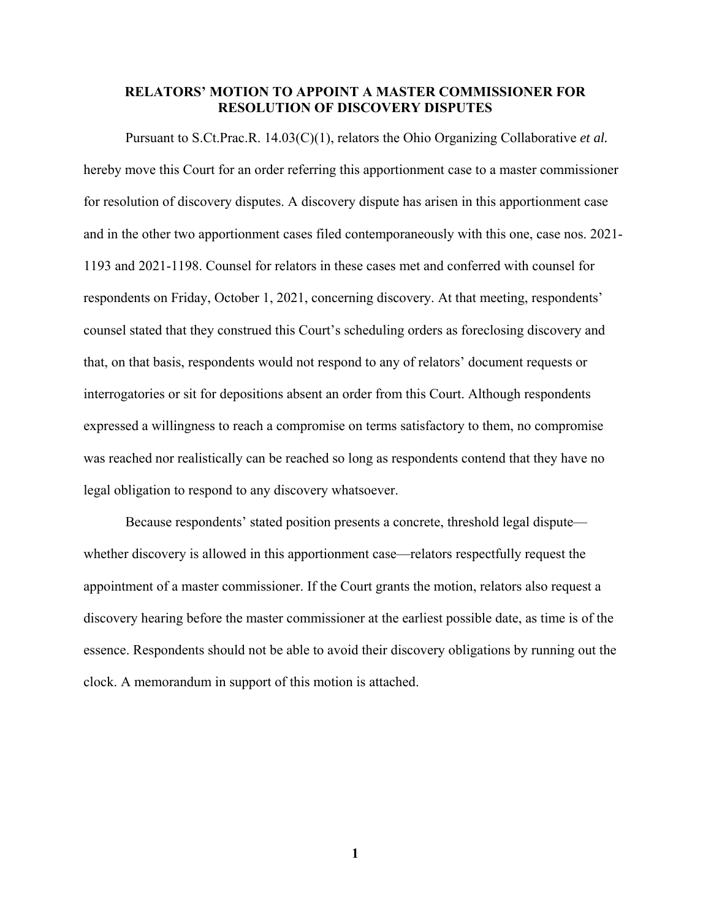## **RELATORS' MOTION TO APPOINT A MASTER COMMISSIONER FOR RESOLUTION OF DISCOVERY DISPUTES**

Pursuant to S.Ct.Prac.R. 14.03(C)(1), relators the Ohio Organizing Collaborative *et al.* hereby move this Court for an order referring this apportionment case to a master commissioner for resolution of discovery disputes. A discovery dispute has arisen in this apportionment case and in the other two apportionment cases filed contemporaneously with this one, case nos. 2021- 1193 and 2021-1198. Counsel for relators in these cases met and conferred with counsel for respondents on Friday, October 1, 2021, concerning discovery. At that meeting, respondents' counsel stated that they construed this Court's scheduling orders as foreclosing discovery and that, on that basis, respondents would not respond to any of relators' document requests or interrogatories or sit for depositions absent an order from this Court. Although respondents expressed a willingness to reach a compromise on terms satisfactory to them, no compromise was reached nor realistically can be reached so long as respondents contend that they have no legal obligation to respond to any discovery whatsoever.

Because respondents' stated position presents a concrete, threshold legal dispute whether discovery is allowed in this apportionment case—relators respectfully request the appointment of a master commissioner. If the Court grants the motion, relators also request a discovery hearing before the master commissioner at the earliest possible date, as time is of the essence. Respondents should not be able to avoid their discovery obligations by running out the clock. A memorandum in support of this motion is attached.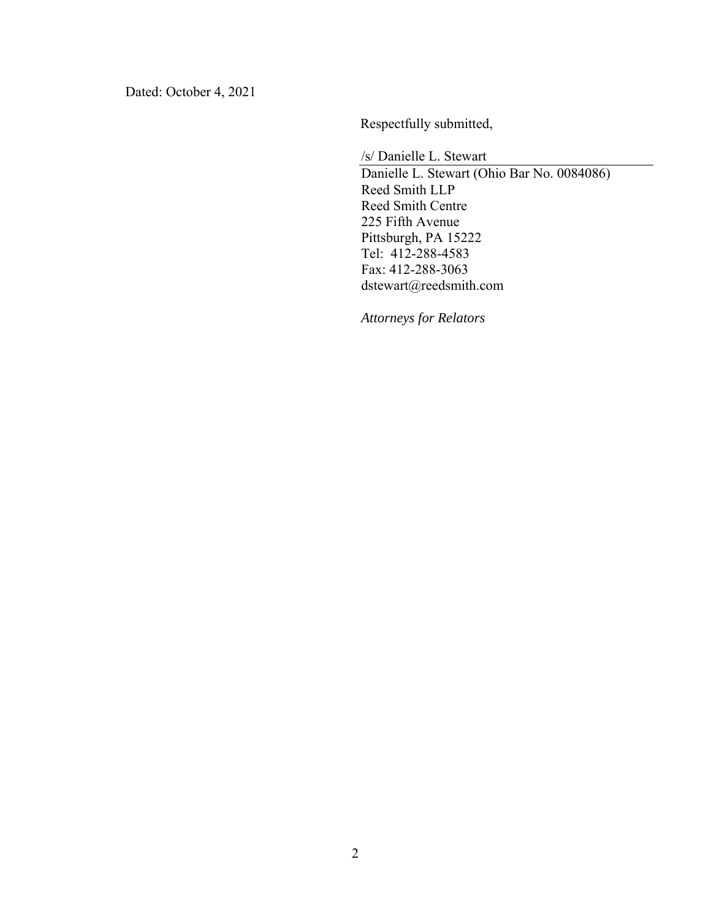Dated: October 4, 2021

Respectfully submitted,

/s/ Danielle L. Stewart

Danielle L. Stewart (Ohio Bar No. 0084086) Reed Smith LLP Reed Smith Centre 225 Fifth Avenue Pittsburgh, PA 15222 Tel: 412-288-4583 Fax: 412-288-3063 dstewart@reedsmith.com

*Attorneys for Relators*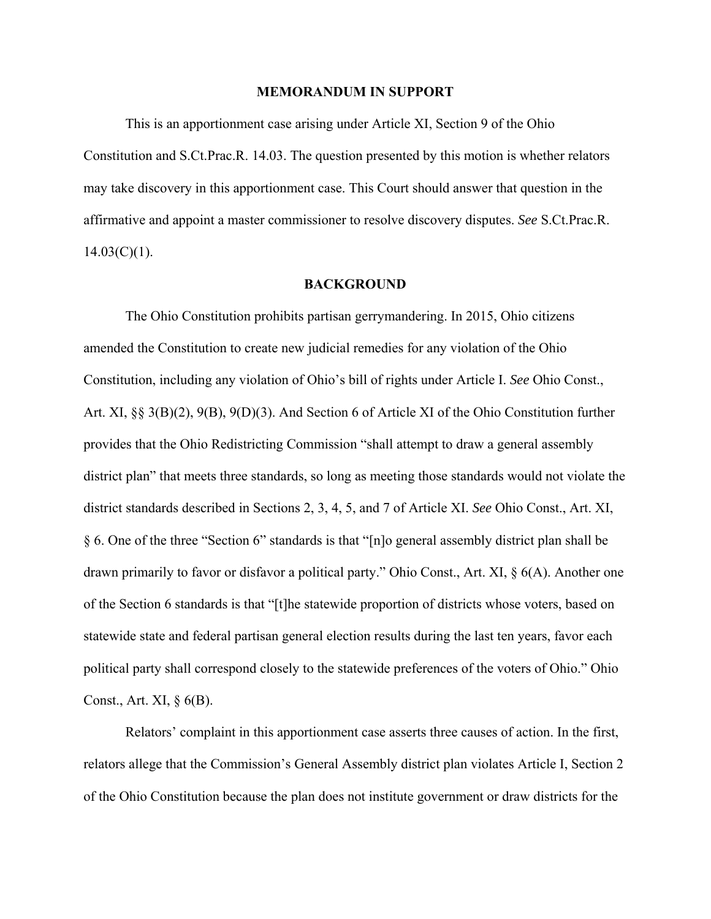### **MEMORANDUM IN SUPPORT**

 This is an apportionment case arising under Article XI, Section 9 of the Ohio Constitution and S.Ct.Prac.R. 14.03. The question presented by this motion is whether relators may take discovery in this apportionment case. This Court should answer that question in the affirmative and appoint a master commissioner to resolve discovery disputes. *See* S.Ct.Prac.R.  $14.03(C)(1)$ .

#### **BACKGROUND**

The Ohio Constitution prohibits partisan gerrymandering. In 2015, Ohio citizens amended the Constitution to create new judicial remedies for any violation of the Ohio Constitution, including any violation of Ohio's bill of rights under Article I. *See* Ohio Const., Art. XI, §§ 3(B)(2), 9(B), 9(D)(3). And Section 6 of Article XI of the Ohio Constitution further provides that the Ohio Redistricting Commission "shall attempt to draw a general assembly district plan" that meets three standards, so long as meeting those standards would not violate the district standards described in Sections 2, 3, 4, 5, and 7 of Article XI. *See* Ohio Const., Art. XI, § 6. One of the three "Section 6" standards is that "[n]o general assembly district plan shall be drawn primarily to favor or disfavor a political party." Ohio Const., Art. XI, § 6(A). Another one of the Section 6 standards is that "[t]he statewide proportion of districts whose voters, based on statewide state and federal partisan general election results during the last ten years, favor each political party shall correspond closely to the statewide preferences of the voters of Ohio." Ohio Const., Art. XI,  $\S$  6(B).

Relators' complaint in this apportionment case asserts three causes of action. In the first, relators allege that the Commission's General Assembly district plan violates Article I, Section 2 of the Ohio Constitution because the plan does not institute government or draw districts for the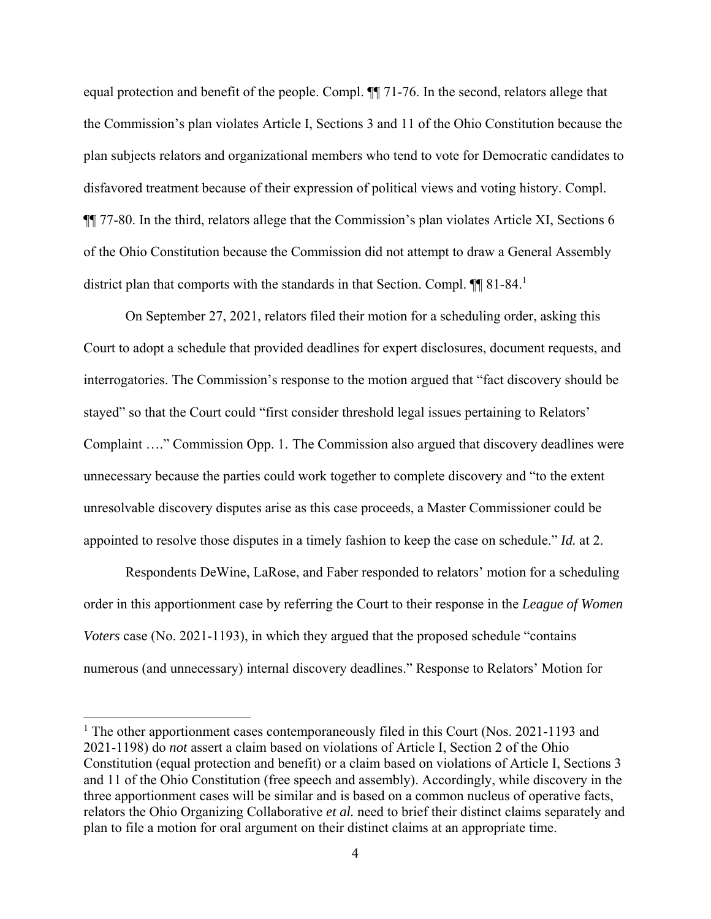equal protection and benefit of the people. Compl. ¶¶ 71-76. In the second, relators allege that the Commission's plan violates Article I, Sections 3 and 11 of the Ohio Constitution because the plan subjects relators and organizational members who tend to vote for Democratic candidates to disfavored treatment because of their expression of political views and voting history. Compl. ¶¶ 77-80. In the third, relators allege that the Commission's plan violates Article XI, Sections 6 of the Ohio Constitution because the Commission did not attempt to draw a General Assembly district plan that comports with the standards in that Section. Compl.  $\P\P$  81-84.<sup>1</sup>

On September 27, 2021, relators filed their motion for a scheduling order, asking this Court to adopt a schedule that provided deadlines for expert disclosures, document requests, and interrogatories. The Commission's response to the motion argued that "fact discovery should be stayed" so that the Court could "first consider threshold legal issues pertaining to Relators' Complaint …." Commission Opp. 1. The Commission also argued that discovery deadlines were unnecessary because the parties could work together to complete discovery and "to the extent unresolvable discovery disputes arise as this case proceeds, a Master Commissioner could be appointed to resolve those disputes in a timely fashion to keep the case on schedule." *Id.* at 2.

Respondents DeWine, LaRose, and Faber responded to relators' motion for a scheduling order in this apportionment case by referring the Court to their response in the *League of Women Voters* case (No. 2021-1193), in which they argued that the proposed schedule "contains" numerous (and unnecessary) internal discovery deadlines." Response to Relators' Motion for

 $\overline{a}$ 

<sup>&</sup>lt;sup>1</sup> The other apportionment cases contemporaneously filed in this Court (Nos. 2021-1193 and 2021-1198) do *not* assert a claim based on violations of Article I, Section 2 of the Ohio Constitution (equal protection and benefit) or a claim based on violations of Article I, Sections 3 and 11 of the Ohio Constitution (free speech and assembly). Accordingly, while discovery in the three apportionment cases will be similar and is based on a common nucleus of operative facts, relators the Ohio Organizing Collaborative *et al.* need to brief their distinct claims separately and plan to file a motion for oral argument on their distinct claims at an appropriate time.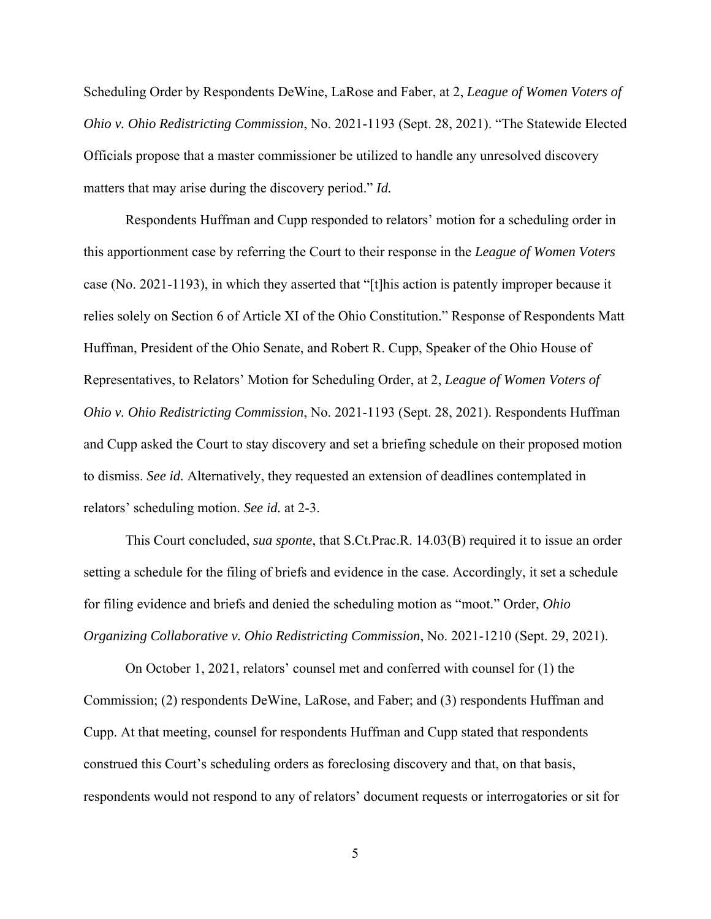Scheduling Order by Respondents DeWine, LaRose and Faber, at 2, *League of Women Voters of Ohio v. Ohio Redistricting Commission*, No. 2021-1193 (Sept. 28, 2021). "The Statewide Elected Officials propose that a master commissioner be utilized to handle any unresolved discovery matters that may arise during the discovery period." *Id.*

Respondents Huffman and Cupp responded to relators' motion for a scheduling order in this apportionment case by referring the Court to their response in the *League of Women Voters* case (No. 2021-1193), in which they asserted that "[t]his action is patently improper because it relies solely on Section 6 of Article XI of the Ohio Constitution." Response of Respondents Matt Huffman, President of the Ohio Senate, and Robert R. Cupp, Speaker of the Ohio House of Representatives, to Relators' Motion for Scheduling Order, at 2, *League of Women Voters of Ohio v. Ohio Redistricting Commission*, No. 2021-1193 (Sept. 28, 2021). Respondents Huffman and Cupp asked the Court to stay discovery and set a briefing schedule on their proposed motion to dismiss. *See id.* Alternatively, they requested an extension of deadlines contemplated in relators' scheduling motion. *See id.* at 2-3.

This Court concluded, *sua sponte*, that S.Ct.Prac.R. 14.03(B) required it to issue an order setting a schedule for the filing of briefs and evidence in the case. Accordingly, it set a schedule for filing evidence and briefs and denied the scheduling motion as "moot." Order, *Ohio Organizing Collaborative v. Ohio Redistricting Commission*, No. 2021-1210 (Sept. 29, 2021).

On October 1, 2021, relators' counsel met and conferred with counsel for (1) the Commission; (2) respondents DeWine, LaRose, and Faber; and (3) respondents Huffman and Cupp. At that meeting, counsel for respondents Huffman and Cupp stated that respondents construed this Court's scheduling orders as foreclosing discovery and that, on that basis, respondents would not respond to any of relators' document requests or interrogatories or sit for

5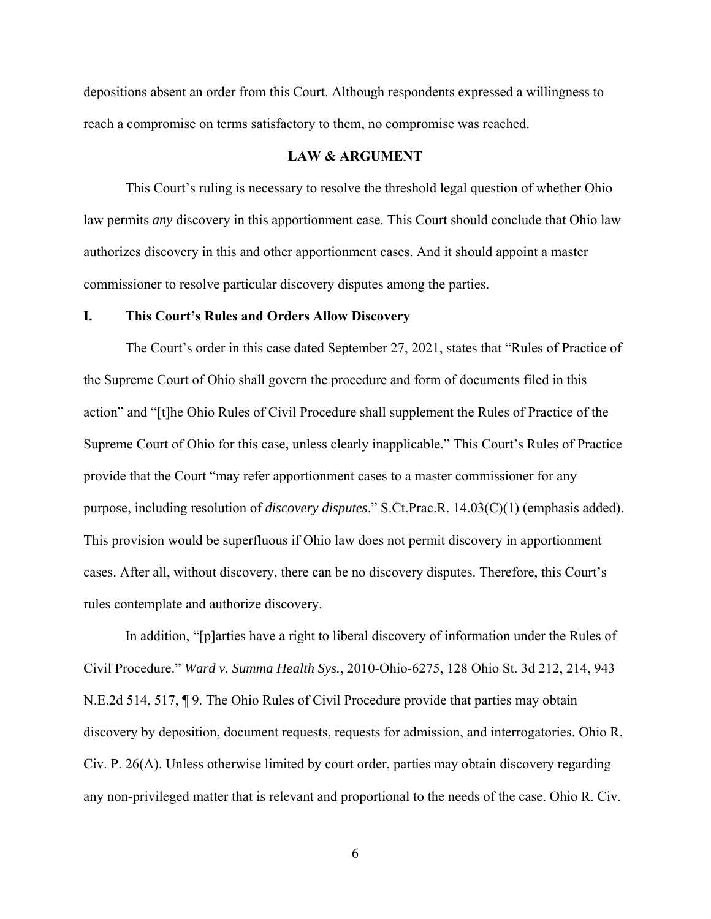depositions absent an order from this Court. Although respondents expressed a willingness to reach a compromise on terms satisfactory to them, no compromise was reached.

#### **LAW & ARGUMENT**

 This Court's ruling is necessary to resolve the threshold legal question of whether Ohio law permits *any* discovery in this apportionment case. This Court should conclude that Ohio law authorizes discovery in this and other apportionment cases. And it should appoint a master commissioner to resolve particular discovery disputes among the parties.

#### **I. This Court's Rules and Orders Allow Discovery**

The Court's order in this case dated September 27, 2021, states that "Rules of Practice of the Supreme Court of Ohio shall govern the procedure and form of documents filed in this action" and "[t]he Ohio Rules of Civil Procedure shall supplement the Rules of Practice of the Supreme Court of Ohio for this case, unless clearly inapplicable." This Court's Rules of Practice provide that the Court "may refer apportionment cases to a master commissioner for any purpose, including resolution of *discovery disputes*." S.Ct.Prac.R. 14.03(C)(1) (emphasis added). This provision would be superfluous if Ohio law does not permit discovery in apportionment cases. After all, without discovery, there can be no discovery disputes. Therefore, this Court's rules contemplate and authorize discovery.

In addition, "[p]arties have a right to liberal discovery of information under the Rules of Civil Procedure." *Ward v. Summa Health Sys.*, 2010-Ohio-6275, 128 Ohio St. 3d 212, 214, 943 N.E.2d 514, 517, ¶ 9. The Ohio Rules of Civil Procedure provide that parties may obtain discovery by deposition, document requests, requests for admission, and interrogatories. Ohio R. Civ. P. 26(A). Unless otherwise limited by court order, parties may obtain discovery regarding any non-privileged matter that is relevant and proportional to the needs of the case. Ohio R. Civ.

6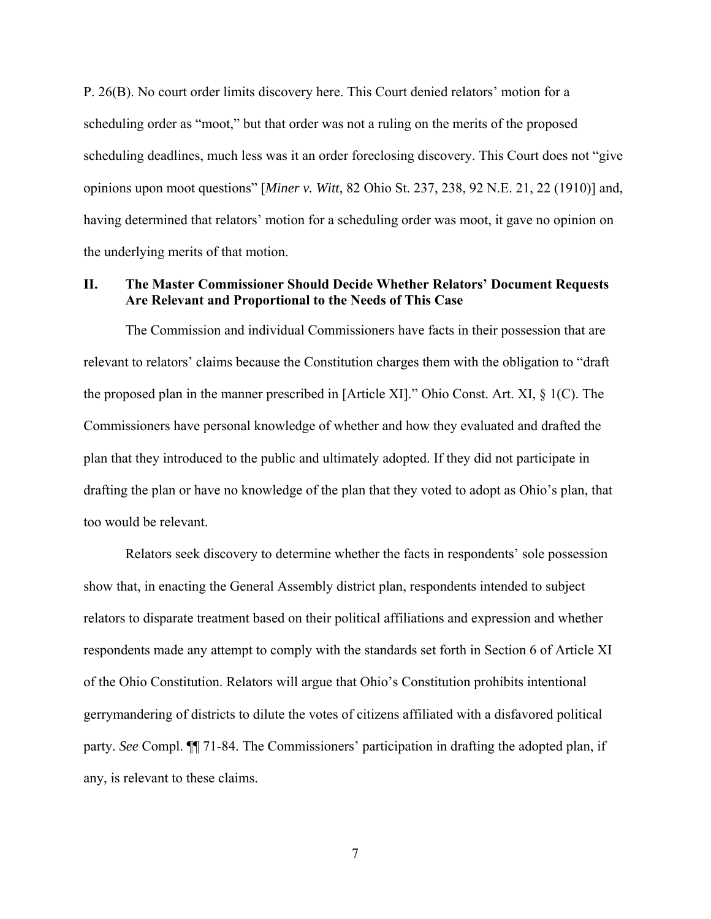P. 26(B). No court order limits discovery here. This Court denied relators' motion for a scheduling order as "moot," but that order was not a ruling on the merits of the proposed scheduling deadlines, much less was it an order foreclosing discovery. This Court does not "give opinions upon moot questions" [*Miner v. Witt*, 82 Ohio St. 237, 238, 92 N.E. 21, 22 (1910)] and, having determined that relators' motion for a scheduling order was moot, it gave no opinion on the underlying merits of that motion.

# **II. The Master Commissioner Should Decide Whether Relators' Document Requests Are Relevant and Proportional to the Needs of This Case**

The Commission and individual Commissioners have facts in their possession that are relevant to relators' claims because the Constitution charges them with the obligation to "draft the proposed plan in the manner prescribed in [Article XI]." Ohio Const. Art. XI, § 1(C). The Commissioners have personal knowledge of whether and how they evaluated and drafted the plan that they introduced to the public and ultimately adopted. If they did not participate in drafting the plan or have no knowledge of the plan that they voted to adopt as Ohio's plan, that too would be relevant.

Relators seek discovery to determine whether the facts in respondents' sole possession show that, in enacting the General Assembly district plan, respondents intended to subject relators to disparate treatment based on their political affiliations and expression and whether respondents made any attempt to comply with the standards set forth in Section 6 of Article XI of the Ohio Constitution. Relators will argue that Ohio's Constitution prohibits intentional gerrymandering of districts to dilute the votes of citizens affiliated with a disfavored political party. *See* Compl. ¶¶ 71-84. The Commissioners' participation in drafting the adopted plan, if any, is relevant to these claims.

7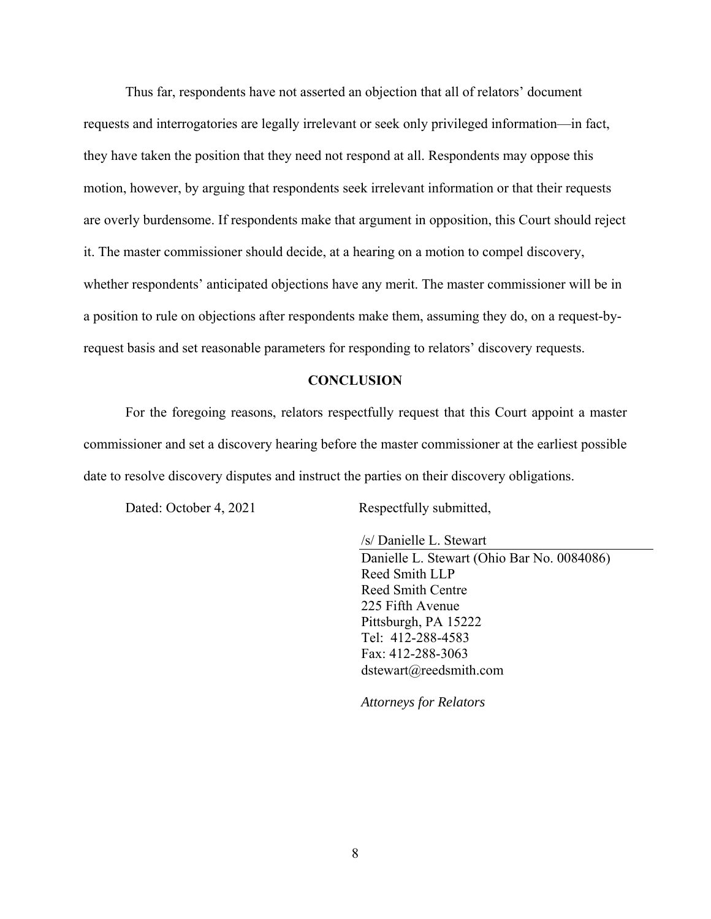Thus far, respondents have not asserted an objection that all of relators' document requests and interrogatories are legally irrelevant or seek only privileged information—in fact, they have taken the position that they need not respond at all. Respondents may oppose this motion, however, by arguing that respondents seek irrelevant information or that their requests are overly burdensome. If respondents make that argument in opposition, this Court should reject it. The master commissioner should decide, at a hearing on a motion to compel discovery, whether respondents' anticipated objections have any merit. The master commissioner will be in a position to rule on objections after respondents make them, assuming they do, on a request-byrequest basis and set reasonable parameters for responding to relators' discovery requests.

#### **CONCLUSION**

 For the foregoing reasons, relators respectfully request that this Court appoint a master commissioner and set a discovery hearing before the master commissioner at the earliest possible date to resolve discovery disputes and instruct the parties on their discovery obligations.

Dated: October 4, 2021 Respectfully submitted,

/s/ Danielle L. Stewart

Danielle L. Stewart (Ohio Bar No. 0084086) Reed Smith LLP Reed Smith Centre 225 Fifth Avenue Pittsburgh, PA 15222 Tel: 412-288-4583 Fax: 412-288-3063 dstewart@reedsmith.com

*Attorneys for Relators*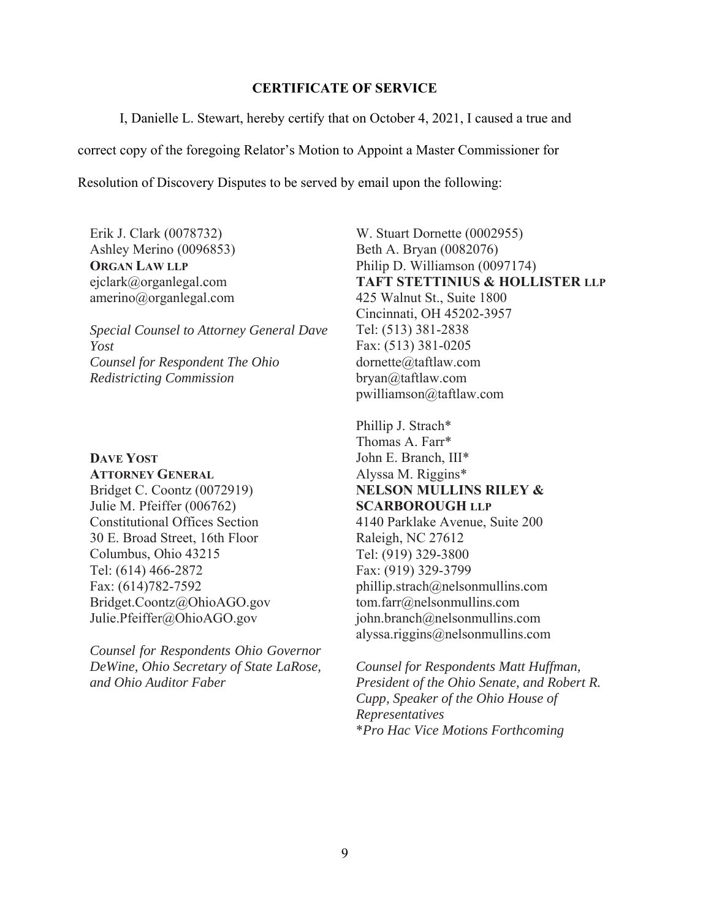### **CERTIFICATE OF SERVICE**

I, Danielle L. Stewart, hereby certify that on October 4, 2021, I caused a true and

correct copy of the foregoing Relator's Motion to Appoint a Master Commissioner for

Resolution of Discovery Disputes to be served by email upon the following:

Erik J. Clark (0078732) Ashley Merino (0096853) **ORGAN LAW LLP** ejclark@organlegal.com amerino@organlegal.com

*Special Counsel to Attorney General Dave Yost Counsel for Respondent The Ohio Redistricting Commission*

**DAVE YOST ATTORNEY GENERAL** Bridget C. Coontz (0072919) Julie M. Pfeiffer (006762) Constitutional Offices Section 30 E. Broad Street, 16th Floor Columbus, Ohio 43215 Tel: (614) 466-2872 Fax: (614)782-7592 Bridget.Coontz@OhioAGO.gov Julie.Pfeiffer@OhioAGO.gov

*Counsel for Respondents Ohio Governor DeWine, Ohio Secretary of State LaRose, and Ohio Auditor Faber*

W. Stuart Dornette (0002955) Beth A. Bryan (0082076) Philip D. Williamson (0097174) **TAFT STETTINIUS & HOLLISTER LLP** 425 Walnut St., Suite 1800 Cincinnati, OH 45202-3957 Tel: (513) 381-2838 Fax: (513) 381-0205 dornette@taftlaw.com bryan@taftlaw.com pwilliamson@taftlaw.com

Phillip J. Strach\* Thomas A. Farr\* John E. Branch, III\* Alyssa M. Riggins\* **NELSON MULLINS RILEY & SCARBOROUGH LLP** 4140 Parklake Avenue, Suite 200 Raleigh, NC 27612 Tel: (919) 329-3800 Fax: (919) 329-3799 phillip.strach@nelsonmullins.com tom.farr@nelsonmullins.com john.branch@nelsonmullins.com alyssa.riggins@nelsonmullins.com

*Counsel for Respondents Matt Huffman, President of the Ohio Senate, and Robert R. Cupp, Speaker of the Ohio House of Representatives* \**Pro Hac Vice Motions Forthcoming*